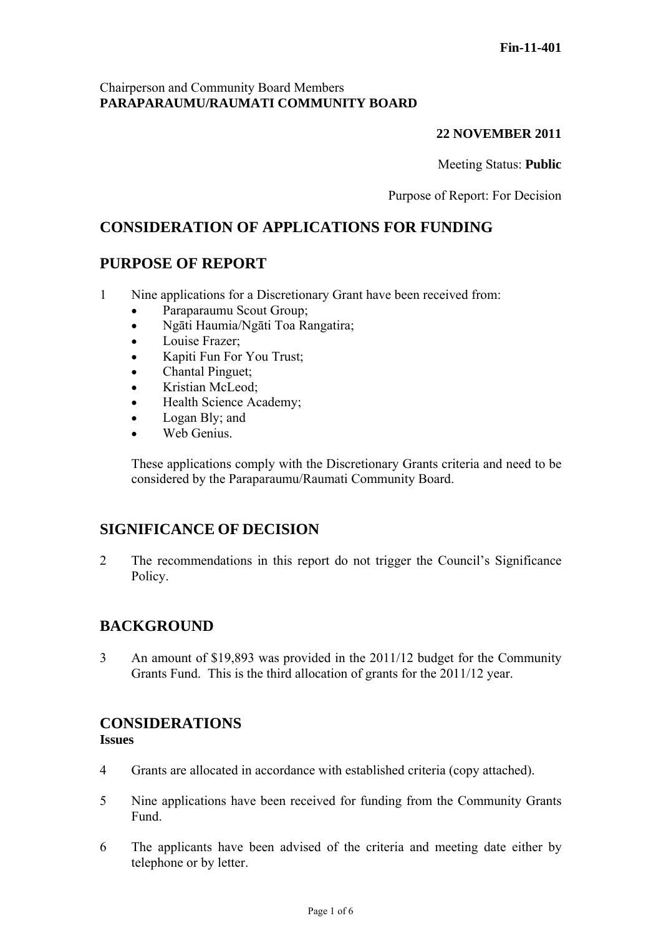## Chairperson and Community Board Members **PARAPARAUMU/RAUMATI COMMUNITY BOARD**

## **22 NOVEMBER 2011**

Meeting Status: **Public**

Purpose of Report: For Decision

# **CONSIDERATION OF APPLICATIONS FOR FUNDING**

# **PURPOSE OF REPORT**

- 1 Nine applications for a Discretionary Grant have been received from:
	- Paraparaumu Scout Group;
	- Ngāti Haumia/Ngāti Toa Rangatira;
	- Louise Frazer;
	- Kapiti Fun For You Trust;
	- Chantal Pinguet:
	- Kristian McLeod;
	- Health Science Academy;
	- Logan Bly; and
	- Web Genius.

These applications comply with the Discretionary Grants criteria and need to be considered by the Paraparaumu/Raumati Community Board.

# **SIGNIFICANCE OF DECISION**

2 The recommendations in this report do not trigger the Council's Significance Policy.

# **BACKGROUND**

3 An amount of \$19,893 was provided in the 2011/12 budget for the Community Grants Fund. This is the third allocation of grants for the 2011/12 year.

#### **CONSIDERATIONS Issues**

- 4 Grants are allocated in accordance with established criteria (copy attached).
- 5 Nine applications have been received for funding from the Community Grants Fund.
- 6 The applicants have been advised of the criteria and meeting date either by telephone or by letter.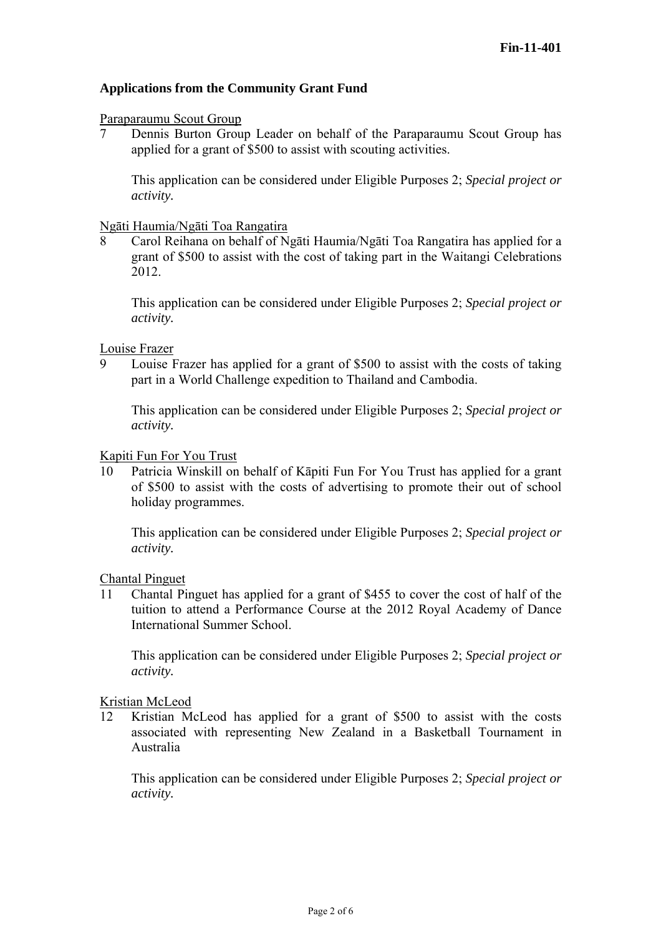## **Applications from the Community Grant Fund**

#### Paraparaumu Scout Group

7 Dennis Burton Group Leader on behalf of the Paraparaumu Scout Group has applied for a grant of \$500 to assist with scouting activities.

This application can be considered under Eligible Purposes 2; *Special project or activity.* 

#### Ngāti Haumia/Ngāti Toa Rangatira

8 Carol Reihana on behalf of Ngāti Haumia/Ngāti Toa Rangatira has applied for a grant of \$500 to assist with the cost of taking part in the Waitangi Celebrations 2012.

This application can be considered under Eligible Purposes 2; *Special project or activity.* 

Louise Frazer

9 Louise Frazer has applied for a grant of \$500 to assist with the costs of taking part in a World Challenge expedition to Thailand and Cambodia.

This application can be considered under Eligible Purposes 2; *Special project or activity.* 

#### Kapiti Fun For You Trust

10 Patricia Winskill on behalf of Kāpiti Fun For You Trust has applied for a grant of \$500 to assist with the costs of advertising to promote their out of school holiday programmes.

This application can be considered under Eligible Purposes 2; *Special project or activity.* 

Chantal Pinguet

11 Chantal Pinguet has applied for a grant of \$455 to cover the cost of half of the tuition to attend a Performance Course at the 2012 Royal Academy of Dance International Summer School.

This application can be considered under Eligible Purposes 2; *Special project or activity.* 

Kristian McLeod

12 Kristian McLeod has applied for a grant of \$500 to assist with the costs associated with representing New Zealand in a Basketball Tournament in Australia

This application can be considered under Eligible Purposes 2; *Special project or activity.*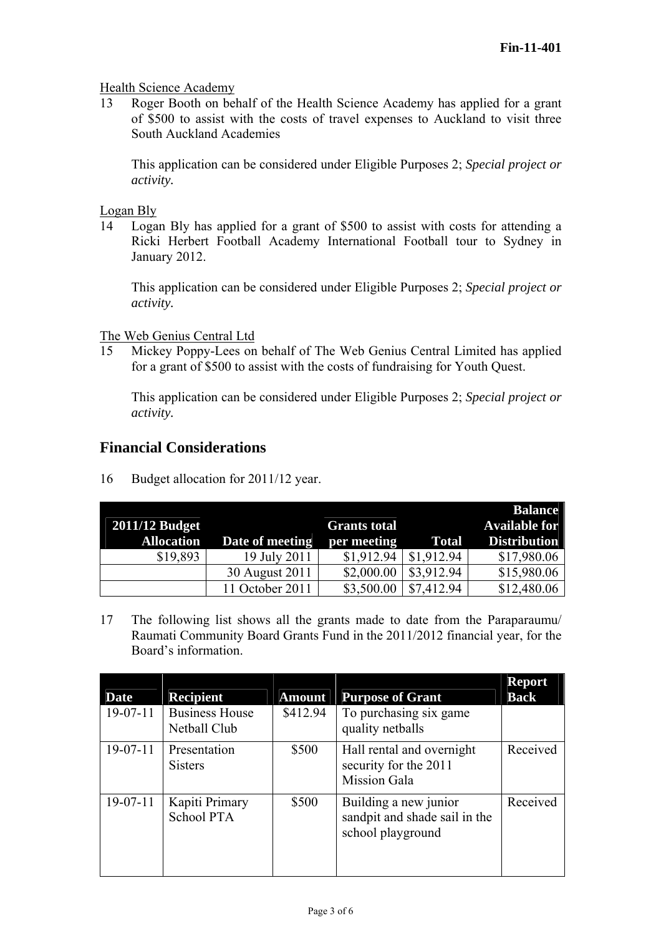## Health Science Academy

13 Roger Booth on behalf of the Health Science Academy has applied for a grant of \$500 to assist with the costs of travel expenses to Auckland to visit three South Auckland Academies

This application can be considered under Eligible Purposes 2; *Special project or activity.* 

Logan Bly

14 Logan Bly has applied for a grant of \$500 to assist with costs for attending a Ricki Herbert Football Academy International Football tour to Sydney in January 2012.

This application can be considered under Eligible Purposes 2; *Special project or activity.* 

The Web Genius Central Ltd

15 Mickey Poppy-Lees on behalf of The Web Genius Central Limited has applied for a grant of \$500 to assist with the costs of fundraising for Youth Quest.

This application can be considered under Eligible Purposes 2; *Special project or activity.* 

## **Financial Considerations**

16 Budget allocation for 2011/12 year.

|                   |                 |                     |              | <b>Balance</b>       |
|-------------------|-----------------|---------------------|--------------|----------------------|
| 2011/12 Budget    |                 | <b>Grants total</b> |              | <b>Available for</b> |
| <b>Allocation</b> | Date of meeting | per meeting         | <b>Total</b> | <b>Distribution</b>  |
| \$19,893          | 19 July 2011    | \$1,912.94          | \$1,912.94   | \$17,980.06          |
|                   | 30 August 2011  | \$2,000.00          | \$3,912.94   | \$15,980.06          |
|                   | 11 October 2011 | \$3,500.00          | \$7,412.94   | \$12,480.06          |

17 The following list shows all the grants made to date from the Paraparaumu/ Raumati Community Board Grants Fund in the 2011/2012 financial year, for the Board's information.

| <b>Date</b> | <b>Recipient</b>                      | <b>Amount</b> | <b>Purpose of Grant</b>                                                     | <b>Report</b><br><b>Back</b> |
|-------------|---------------------------------------|---------------|-----------------------------------------------------------------------------|------------------------------|
| $19-07-11$  | <b>Business House</b><br>Netball Club | \$412.94      | To purchasing six game<br>quality netballs                                  |                              |
| $19-07-11$  | Presentation<br><b>Sisters</b>        | \$500         | Hall rental and overnight<br>security for the 2011<br><b>Mission Gala</b>   | Received                     |
| $19-07-11$  | Kapiti Primary<br>School PTA          | \$500         | Building a new junior<br>sandpit and shade sail in the<br>school playground | Received                     |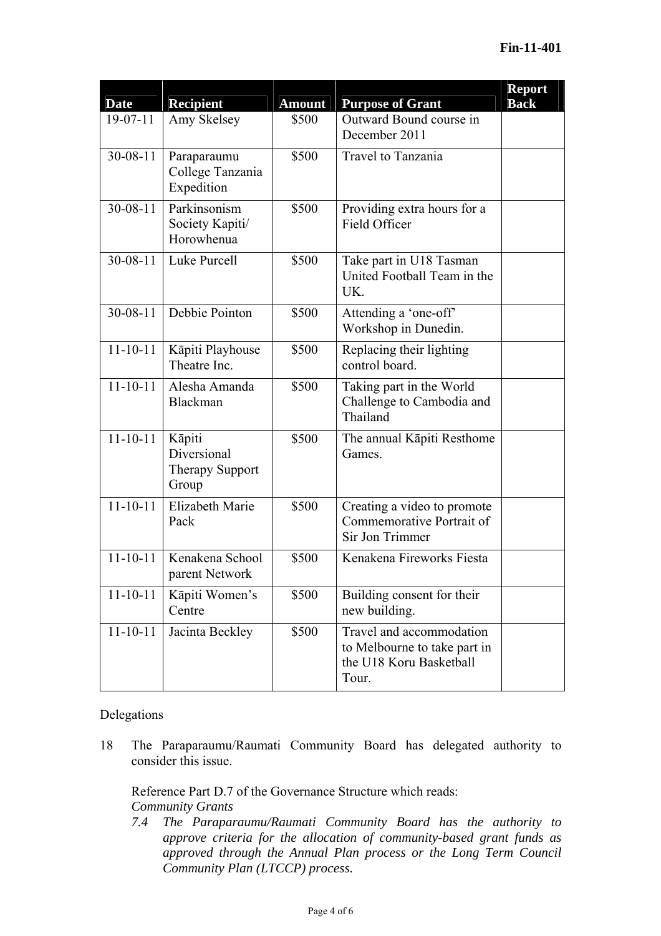| Date           | <b>Recipient</b>                                         | <b>Amount</b> | <b>Purpose of Grant</b>                                                                      | <b>Report</b><br><b>Back</b> |
|----------------|----------------------------------------------------------|---------------|----------------------------------------------------------------------------------------------|------------------------------|
| $19-07-11$     | Amy Skelsey                                              | \$500         | Outward Bound course in<br>December 2011                                                     |                              |
| $30 - 08 - 11$ | Paraparaumu<br>College Tanzania<br>Expedition            | \$500         | Travel to Tanzania                                                                           |                              |
| $30 - 08 - 11$ | Parkinsonism<br>Society Kapiti/<br>Horowhenua            | \$500         | Providing extra hours for a<br>Field Officer                                                 |                              |
| $30 - 08 - 11$ | Luke Purcell                                             | \$500         | Take part in U18 Tasman<br>United Football Team in the<br>UK.                                |                              |
| $30 - 08 - 11$ | Debbie Pointon                                           | \$500         | Attending a 'one-off'<br>Workshop in Dunedin.                                                |                              |
| $11 - 10 - 11$ | Kāpiti Playhouse<br>Theatre Inc.                         | \$500         | Replacing their lighting<br>control board.                                                   |                              |
| $11 - 10 - 11$ | Alesha Amanda<br>Blackman                                | \$500         | Taking part in the World<br>Challenge to Cambodia and<br>Thailand                            |                              |
| $11 - 10 - 11$ | Kāpiti<br>Diversional<br><b>Therapy Support</b><br>Group | \$500         | The annual Kāpiti Resthome<br>Games.                                                         |                              |
| $11 - 10 - 11$ | <b>Elizabeth Marie</b><br>Pack                           | \$500         | Creating a video to promote<br>Commemorative Portrait of<br>Sir Jon Trimmer                  |                              |
| $11 - 10 - 11$ | Kenakena School<br>parent Network                        | \$500         | Kenakena Fireworks Fiesta                                                                    |                              |
| $11 - 10 - 11$ | Kāpiti Women's<br>Centre                                 | \$500         | Building consent for their<br>new building.                                                  |                              |
| $11 - 10 - 11$ | Jacinta Beckley                                          | \$500         | Travel and accommodation<br>to Melbourne to take part in<br>the U18 Koru Basketball<br>Tour. |                              |

#### Delegations

18 The Paraparaumu/Raumati Community Board has delegated authority to consider this issue.

Reference Part D.7 of the Governance Structure which reads: *Community Grants* 

*7.4 The Paraparaumu/Raumati Community Board has the authority to approve criteria for the allocation of community-based grant funds as approved through the Annual Plan process or the Long Term Council Community Plan (LTCCP) process.*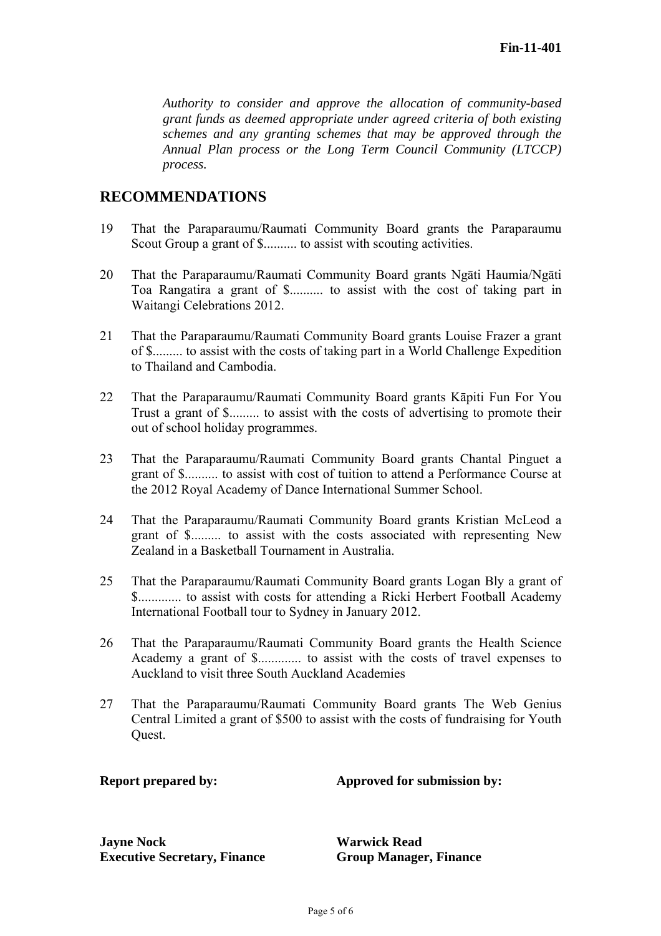*Authority to consider and approve the allocation of community-based grant funds as deemed appropriate under agreed criteria of both existing schemes and any granting schemes that may be approved through the Annual Plan process or the Long Term Council Community (LTCCP) process.* 

# **RECOMMENDATIONS**

- 19 That the Paraparaumu/Raumati Community Board grants the Paraparaumu Scout Group a grant of \$.......... to assist with scouting activities.
- 20 That the Paraparaumu/Raumati Community Board grants Ngāti Haumia/Ngāti Toa Rangatira a grant of \$.......... to assist with the cost of taking part in Waitangi Celebrations 2012.
- 21 That the Paraparaumu/Raumati Community Board grants Louise Frazer a grant of \$......... to assist with the costs of taking part in a World Challenge Expedition to Thailand and Cambodia.
- 22 That the Paraparaumu/Raumati Community Board grants Kāpiti Fun For You Trust a grant of \$......... to assist with the costs of advertising to promote their out of school holiday programmes.
- 23 That the Paraparaumu/Raumati Community Board grants Chantal Pinguet a grant of \$.......... to assist with cost of tuition to attend a Performance Course at the 2012 Royal Academy of Dance International Summer School.
- 24 That the Paraparaumu/Raumati Community Board grants Kristian McLeod a grant of \$......... to assist with the costs associated with representing New Zealand in a Basketball Tournament in Australia.
- 25 That the Paraparaumu/Raumati Community Board grants Logan Bly a grant of \$............. to assist with costs for attending a Ricki Herbert Football Academy International Football tour to Sydney in January 2012.
- 26 That the Paraparaumu/Raumati Community Board grants the Health Science Academy a grant of \$............. to assist with the costs of travel expenses to Auckland to visit three South Auckland Academies
- 27 That the Paraparaumu/Raumati Community Board grants The Web Genius Central Limited a grant of \$500 to assist with the costs of fundraising for Youth Quest.

**Report prepared by:** Approved for submission by:

**Jayne Nock Warwick Read Executive Secretary, Finance Group Manager, Finance**